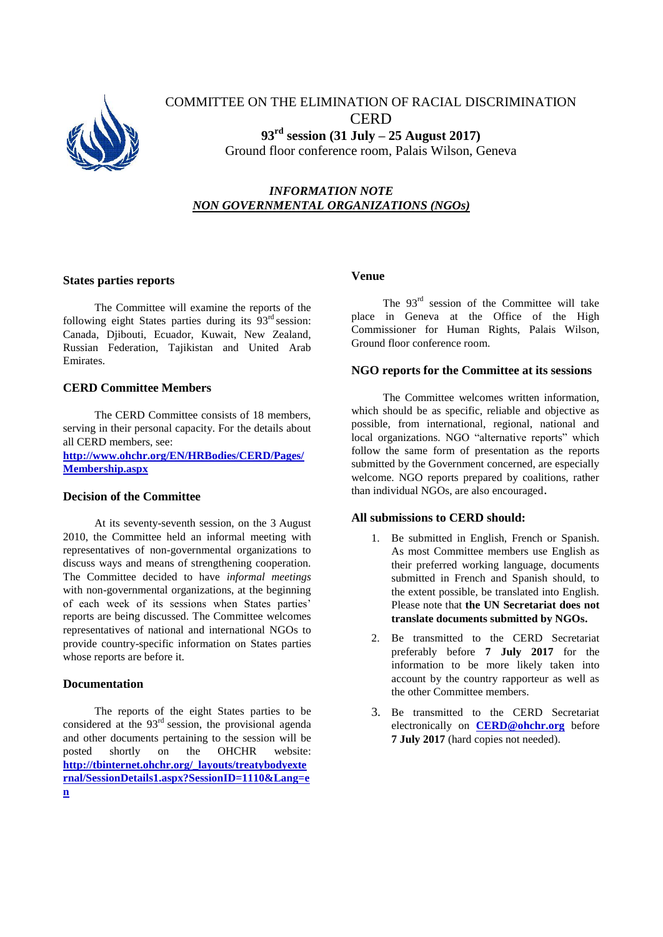

# COMMITTEE ON THE ELIMINATION OF RACIAL DISCRIMINATION CERD **93 rd session (31 July – 25 August 2017)** Ground floor conference room, Palais Wilson, Geneva

## *INFORMATION NOTE NON GOVERNMENTAL ORGANIZATIONS (NGOs)*

### **States parties reports**

The Committee will examine the reports of the following eight States parties during its 93rd session: Canada, Djibouti, Ecuador, Kuwait, New Zealand, Russian Federation, Tajikistan and United Arab Emirates.

### **CERD Committee Members**

The CERD Committee consists of 18 members, serving in their personal capacity. For the details about all CERD members, see:

**[http://www.ohchr.org/EN/HRBodies/CERD/Pages/](http://www.ohchr.org/EN/HRBodies/CERD/Pages/Membership.aspx) [Membership.aspx](http://www.ohchr.org/EN/HRBodies/CERD/Pages/Membership.aspx)**

### **Decision of the Committee**

At its seventy-seventh session, on the 3 August 2010, the Committee held an informal meeting with representatives of non-governmental organizations to discuss ways and means of strengthening cooperation. The Committee decided to have *informal meetings* with non-governmental organizations, at the beginning of each week of its sessions when States parties' reports are being discussed. The Committee welcomes representatives of national and international NGOs to provide country-specific information on States parties whose reports are before it.

### **Documentation**

The reports of the eight States parties to be considered at the  $93<sup>rd</sup>$  session, the provisional agenda and other documents pertaining to the session will be posted shortly on the OHCHR website: **[http://tbinternet.ohchr.org/\\_layouts/treatybodyexte](http://tbinternet.ohchr.org/_layouts/treatybodyexternal/SessionDetails1.aspx?SessionID=1110&Lang=en) [rnal/SessionDetails1.aspx?SessionID=1110&Lang=e](http://tbinternet.ohchr.org/_layouts/treatybodyexternal/SessionDetails1.aspx?SessionID=1110&Lang=en) [n](http://tbinternet.ohchr.org/_layouts/treatybodyexternal/SessionDetails1.aspx?SessionID=1110&Lang=en)**

### **Venue**

The 93<sup>rd</sup> session of the Committee will take place in Geneva at the Office of the High Commissioner for Human Rights, Palais Wilson, Ground floor conference room.

### **NGO reports for the Committee at its sessions**

The Committee welcomes written information, which should be as specific, reliable and objective as possible, from international, regional, national and local organizations. NGO "alternative reports" which follow the same form of presentation as the reports submitted by the Government concerned, are especially welcome. NGO reports prepared by coalitions, rather than individual NGOs, are also encouraged.

### **All submissions to CERD should:**

- 1. Be submitted in English, French or Spanish. As most Committee members use English as their preferred working language, documents submitted in French and Spanish should, to the extent possible, be translated into English. Please note that **the UN Secretariat does not translate documents submitted by NGOs.**
- 2. Be transmitted to the CERD Secretariat preferably before **7 July 2017** for the information to be more likely taken into account by the country rapporteur as well as the other Committee members.
- 3. Be transmitted to the CERD Secretariat electronically on **[CERD@ohchr.org](mailto:CERD@ohchr.org)** before **7 July 2017** (hard copies not needed).